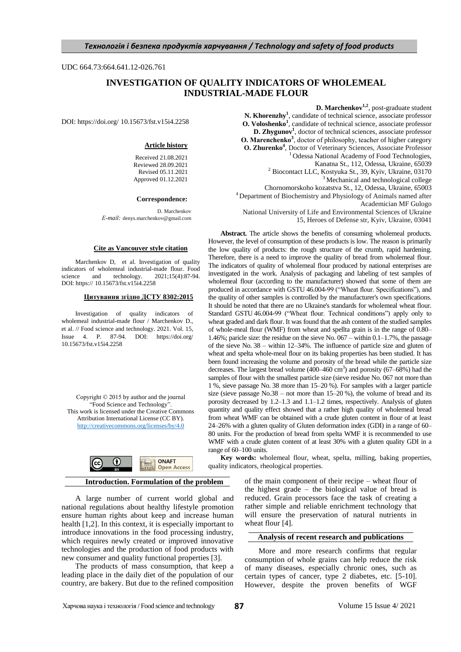UDC 664.73:664.641.12-026.761

# **INVESTIGATION OF QUALITY INDICATORS OF WHOLEMEAL INDUSTRIAL-MADE FLOUR**

DOI: https://doi.org/ 10.15673/fst.v15i4.2258

### **Article history**

Received 21.08.2021 Reviewed 28.09.2021 Revised 05.11.2021 Approved 01.12.2021

#### **Correspondence:**

D. Marchenkov *Е-mail:* denys.marchenkov@gmail.com

#### **Cite as Vancouver style citation**

Marchenkov D, et al. Investigation of quality indicators of wholemeal industrial-made flour. Food science and technology. 2021;15(4):87-94. science and technology.  $2021;15(4):87-94$ . DOI: https:// 10.15673/fst.v15i4.2258

#### **Цитування згідно ДСТУ 8302:2015**

Investigation of quality indicators of wholemeal industrial-made flour / Marchenkov D., et al. // Food science and technology. 2021. Vol. 15, Issue 4. P. 87-94. DOI: https://doi.org/ 10.15673/fst.v15i4.2258

Copyright © 2015 by author and the journal "Food Science and Technology" This work is licensed under the Creative Commons Attribution International License (CC BY). <http://creativecommons.org/licenses/by/4.0>



### **Introduction. Formulation of the problem**

A large number of current world global and national regulations about healthy lifestyle promotion ensure human rights about keep and increase human health [1,2]. In this context, it is especially important to introduce innovations in the food processing industry, which requires newly created or improved innovative technologies and the production of food products with new consumer and quality functional properties [3].

The products of mass consumption, that keep a leading place in the daily diet of the population of our country, are bakery. But due to the refined composition **D. Marchenkov1,2**, post-graduate student

**N. Khorenzhy<sup>1</sup>** , candidate of technical science, associate professor **O. Voloshenko<sup>1</sup>** , candidate of technical science, associate professor **D. Zhygunov<sup>1</sup>** , doctor of technical sciences, associate professor **О. Marenchenko<sup>3</sup>** , doсtor of philosophy, teacher of higher category **O. Zhurenko<sup>4</sup>** , Doctor of Veterinary Sciences, Associate Professor <sup>1</sup> Odessa National Academy of Food Technologies, Kanatna St., 112, Odessa, Ukraine, 65039 <sup>2</sup> Biocontact LLC, Kostyuka St., 39, Kyiv, Ukraine, 03170 <sup>3</sup> Mechanical and technological college Chornomorskoho kozatstva St., 12, Odessa, Ukraine, 65003

<sup>4</sup> Department of Biochemistry and Physiology of Animals named after

Academician MF Gulogo

National University of Life and Environmental Sciences of Ukraine

15, Heroes of Defense str, Kyiv, Ukraine, 03041

**Abstract.** The article shows the benefits of consuming wholemeal products. However, the level of consumption of these products is low. The reason is primarily the low quality of products: the rough structure of the crumb, rapid hardening. Therefore, there is a need to improve the quality of bread from wholemeal flour. The indicators of quality of wholemeal flour produced by national enterprises are investigated in the work. Analysis of packaging and labeling of test samples of wholemeal flour (according to the manufacturer) showed that some of them are produced in accordance with GSTU 46.004-99 ("Wheat flour. Specifications"), and the quality of other samples is controlled by the manufacturer's own specifications. It should be noted that there are no Ukraine's standards for wholemeal wheat flour. Standard GSTU 46.004-99 ("Wheat flour. Technical conditions") apply only to wheat graded and dark flour. It was found that the ash content of the studied samples of whole-meal flour (WMF) from wheat and spellta grain is in the range of 0.80– 1.46%; paricle size: the residue on the sieve No. 067 – within 0.1–1.7%, the passage of the sieve No. 38 – within 12–34%. The influence of particle size and gluten of wheat and spelta whole-meal flour on its baking properties has been studied. It has been found increasing the volume and porosity of the bread while the particle size decreases. The largest bread volume  $(400-460 \text{ cm}^3)$  and porosity  $(67-68\%)$  had the samples of flour with the smallest particle size (sieve residue No. 067 not more than 1 %, sieve passage No. 38 more than 15–20 %). For samples with a larger particle size (sieve passage  $No.38 - not more than 15–20 %$ ), the volume of bread and its porosity decreased by 1.2–1.3 and 1.1–1.2 times, respectively. Analysis of gluten quantity and quality effect showed that a rather high quality of wholemeal bread from wheat WMF can be obtained with a crude gluten content in flour of at least 24–26% with a gluten quality of Gluten deformation index (GDI) in a range of 60– 80 units. For the production of bread from spelta WMF it is recommended to use WMF with a crude gluten content of at least 30% with a gluten quality GDI in a range of 60–100 units.

**Key words:** wholemeal flour, wheat, spelta, milling, baking properties, quality indicators, rheological properties.

> of the main component of their recipe – wheat flour of the highest grade – the biological value of bread is reduced. Grain processors face the task of creating a rather simple and reliable enrichment technology that will ensure the preservation of natural nutrients in wheat flour [4].

### **Analysis of recent research and publications**

More and more research confirms that regular consumption of whole grains can help reduce the risk of many diseases, especially chronic ones, such as certain types of cancer, type 2 diabetes, etc. [5-10]. However, despite the proven benefits of WGF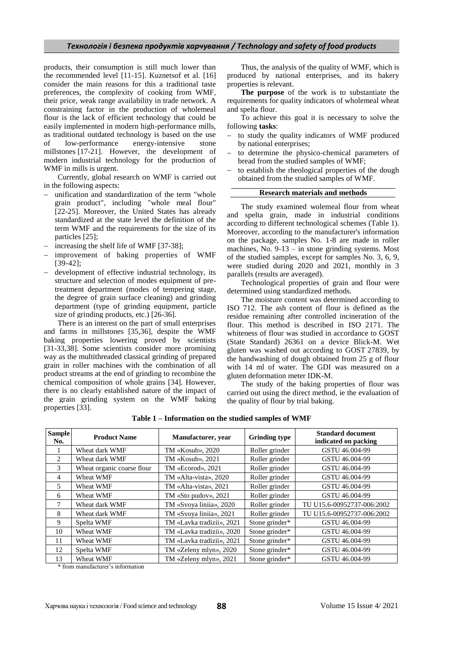products, their consumption is still much lower than the recommended level [11-15]. Kuznetsof et al. [16] consider the main reasons for this a traditional taste preferences, the complexity of cooking from WMF, their price, weak range availability in trade network. A constraining factor in the production of wholemeal flour is the lack of efficient technology that could be easily implemented in modern high-performance mills, as traditional outdated technology is based on the use of low-performance energy-intensive stone millstones [17-21]. However, the development of modern industrial technology for the production of WMF in mills is urgent.

Currently, global research on WMF is carried out in the following aspects:

- unification and standardization of the term "whole grain product", including "whole meal flour" [22-25]. Moreover, the United States has already standardized at the state level the definition of the term WMF and the requirements for the size of its particles [25];
- increasing the shelf life of WMF [37-38];
- improvement of baking properties of WMF [39-42];
- development of effective industrial technology, its structure and selection of modes equipment of pretreatment department (modes of tempering stage, the degree of grain surface cleaning) and grinding department (type of grinding equipment, particle size of grinding products, etc.) [26-36].

There is an interest on the part of small enterprises and farms in millstones [35,36], despite the WMF baking properties lowering proved by scientists [31-33,38]. Some scientists consider more promising way as the multithreaded classical grinding of prepared grain in roller machines with the combination of all product streams at the end of grinding to recombine the chemical composition of whole grains [34]. However, there is no clearly established nature of the impact of the grain grinding system on the WMF baking properties [33].

Thus, the analysis of the quality of WMF, which is produced by national enterprises, and its bakery properties is relevant.

**The purpose** of the work is to substantiate the requirements for quality indicators of wholemeal wheat and spelta flour.

To achieve this goal it is necessary to solve the following **tasks**:

- to study the quality indicators of WMF produced by national enterprises;
- to determine the physico-chemical parameters of bread from the studied samples of WMF;
- to establish the rheological properties of the dough obtained from the studied samples of WMF.

### **Research materials and methods**

The study examined wolemeal flour from wheat and spelta grain, made in industrial conditions according to different technological schemes (Table 1). Moreover, according to the manufacturer's information on the package, samples No. 1-8 are made in roller machines, No. 9-13 – in stone grinding systems. Most of the studied samples, except for samples No. 3, 6, 9, were studied during 2020 and 2021, monthly in 3 parallels (results are averaged).

Technological properties of grain and flour were determined using standardized methods.

The moisture content was determined according to ISO 712. The ash content of flour is defined as the residue remaining after controlled incineration of the flour. This method is described in ISO 2171. The whiteness of flour was studied in accordance to GOST (State Standard) 26361 on a device Blick-M. Wet gluten was washed out according to GOST 27839, by the handwashing of dough obtained from 25 g of flour with 14 ml of water. The GDI was measured on a gluten deformation meter IDK-M.

The study of the baking properties of flour was carried out using the direct method, ie the evaluation of the quality of flour by trial baking.

**Table 1 – Information on the studied samples of WMF**

| <b>Sample</b><br>No.     | <b>Product Name</b>        | Manufacturer, year        | <b>Grinding type</b> | <b>Standard document</b><br>indicated on packing |  |
|--------------------------|----------------------------|---------------------------|----------------------|--------------------------------------------------|--|
|                          | Wheat dark WMF             | TM «Kosub», 2020          | Roller grinder       | GSTU 46.004-99                                   |  |
| 2                        | Wheat dark WMF             | TM «Kosub», 2021          | Roller grinder       | GSTU 46.004-99                                   |  |
| 3                        | Wheat organic coarse flour | TM «Ecorod», 2021         | Roller grinder       | GSTU 46.004-99                                   |  |
| 4                        | Wheat WMF                  | TM «Alta-vista», 2020     | Roller grinder       | GSTU 46.004-99                                   |  |
| $\overline{\phantom{0}}$ | Wheat WMF                  | TM «Alta-vista», 2021     | Roller grinder       | GSTU 46.004-99                                   |  |
| 6                        | Wheat WMF                  | TM «Sto pudov», 2021      | Roller grinder       | GSTU 46.004-99                                   |  |
| 7                        | Wheat dark WMF             | TM «Svoya liniia», 2020   | Roller grinder       | TU U15.6-00952737-006:2002                       |  |
| 8                        | Wheat dark WMF             | TM «Svoya liniia», 2021   | Roller grinder       | TU U15.6-00952737-006:2002                       |  |
| 9                        | Spelta WMF                 | TM «Lavka tradizii», 2021 | Stone grinder*       | GSTU 46.004-99                                   |  |
| 10                       | Wheat WMF                  | TM «Lavka tradizii», 2020 | Stone grinder*       | GSTU 46.004-99                                   |  |
| 11                       | Wheat WMF                  | TM «Lavka tradizii», 2021 | Stone grinder*       | GSTU 46.004-99                                   |  |
| 12                       | Spelta WMF                 | TM «Zeleny mlyn», 2020    | Stone grinder*       | GSTU 46.004-99                                   |  |
| 13                       | Wheat WMF                  | TM «Zeleny mlyn», 2021    | Stone grinder*       | GSTU 46.004-99                                   |  |

\* from manufacturer's information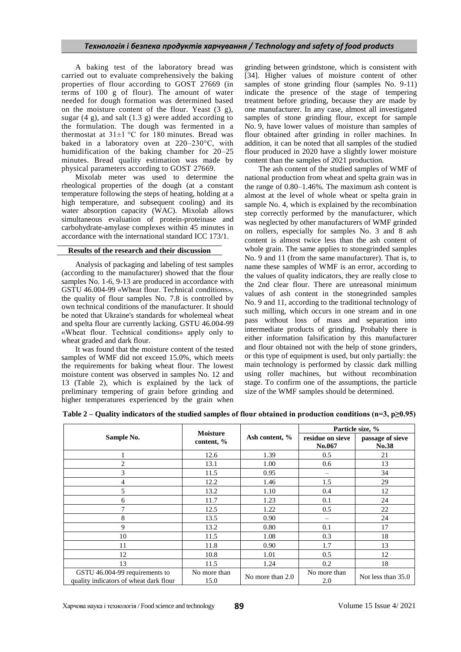A baking test of the laboratory bread was carried out to evaluate comprehensively the baking properties of flour according to GOST 27669 (in terms of 100 g of flour). The amount of water needed for dough formation was determined based on the moisture content of the flour. Yeast (3 g), sugar  $(4 \text{ g})$ , and salt  $(1.3 \text{ g})$  were added according to the formulation. The dough was fermented in a thermostat at  $31\pm1$  °C for 180 minutes. Bread was baked in a laboratory oven at 220–230°C, with humidification of the baking chamber for 20–25 minutes. Bread quality estimation was made by physical parameters according to GOST 27669.

Mixolab meter was used to determine the rheological properties of the dough (at a constant temperature following the steps of heating, holding at a high temperature, and subsequent cooling) and its water absorption capacity (WAC). Mixolab allows simultaneous evaluation of protein-proteinase and carbohydrate-amylase complexes within 45 minutes in accordance with the international standard ICC 173/1.

# **Results of the research and their discussion**

Analysis of packaging and labeling of test samples (according to the manufacturer) showed that the flour samples No. 1-6, 9-13 are produced in accordance with GSTU 46.004-99 «Wheat flour. Technical conditions», the quality of flour samples No. 7.8 is controlled by own technical conditions of the manufacturer. It should be noted that Ukraine's standards for wholemeal wheat and spelta flour are currently lacking. GSTU 46.004-99 «Wheat flour. Technical conditions» apply only to wheat graded and dark flour.

It was found that the moisture content of the tested samples of WMF did not exceed 15.0%, which meets the requirements for baking wheat flour. The lowest moisture content was observed in samples No. 12 and 13 (Table 2), which is explained by the lack of preliminary tempering of grain before grinding and higher temperatures experienced by the grain when

grinding between grindstone, which is consistent with [34]. Higher values of moisture content of other samples of stone grinding flour (samples No. 9-11) indicate the presence of the stage of tempering treatment before grinding, because they are made by one manufacturer. In any case, almost all investigated samples of stone grinding flour, except for sample No. 9, have lower values of moisture than samples of flour obtained after grinding in roller machines. In addition, it can be noted that all samples of the studied flour produced in 2020 have a slightly lower moisture content than the samples of 2021 production.

The ash content of the studied samples of WMF of national production from wheat and spelta grain was in the range of 0.80–1.46%. The maximum ash content is almost at the level of whole wheat or spelta grain in sample No. 4, which is explained by the recombination step correctly performed by the manufacturer, which was neglected by other manufacturers of WMF grinded on rollers, especially for samples No. 3 and 8 ash content is almost twice less than the ash content of whole grain. The same applies to stonegrinded samples No. 9 and 11 (from the same manufacturer). That is, to name these samples of WMF is an error, according to the values of quality indicators, they are really close to the 2nd clear flour. There are unreasonal minimum values of ash content in the stonegrinded samples No. 9 and 11, according to the traditional technology of such milling, which occurs in one stream and in one pass without loss of mass and separation into intermediate products of grinding. Probably there is either information falsification by this manufacturer and flour obtained not with the help of stone grinders, or this type of equipment is used, but only partially: the main technology is performed by classic dark milling using roller machines, but without recombination stage. To confirm one of the assumptions, the particle size of the WMF samples should be determined.

|  |  | Table 2 – Quality indicators of the studied samples of flour obtained in production conditions ( $n=3$ , $p\geq 0.95$ ) |  |
|--|--|-------------------------------------------------------------------------------------------------------------------------|--|
|--|--|-------------------------------------------------------------------------------------------------------------------------|--|

|                                                                          |                               |                  | Particle size, %           |                           |  |
|--------------------------------------------------------------------------|-------------------------------|------------------|----------------------------|---------------------------|--|
| Sample No.                                                               | <b>Moisture</b><br>content, % | Ash content, %   | residue on sieve<br>No.067 | passage of sieve<br>No.38 |  |
|                                                                          | 12.6                          | 1.39             | 0.5                        | 21                        |  |
| $\overline{2}$                                                           | 13.1                          | 1.00             | 0.6                        | 13                        |  |
| 3                                                                        | 11.5                          | 0.95             |                            | 34                        |  |
| 4                                                                        | 12.2                          | 1.46             | 1.5                        | 29                        |  |
| 5                                                                        | 13.2                          | 1.10             | 0.4                        | 12                        |  |
| 6                                                                        | 11.7                          | 1.23             | 0.1                        | 24                        |  |
| $\tau$                                                                   | 12.5                          | 1.22             | 0.5                        | 22                        |  |
| 8                                                                        | 13.5                          | 0.90             |                            | 24                        |  |
| 9                                                                        | 13.2                          | 0.80             | 0.1                        | 17                        |  |
| 10                                                                       | 11.5                          | 1.08             | 0.3                        | 18                        |  |
| 11                                                                       | 11.8                          | 0.90             | 1.7                        | 13                        |  |
| 12                                                                       | 10.8                          | 1.01             | 0.5                        | 12                        |  |
| 13                                                                       | 11.5                          | 1.24             | 0.2                        | 18                        |  |
| GSTU 46.004-99 requirements to<br>quality indicators of wheat dark flour | No more than<br>15.0          | No more than 2.0 | No more than<br>2.0        | Not less than 35.0        |  |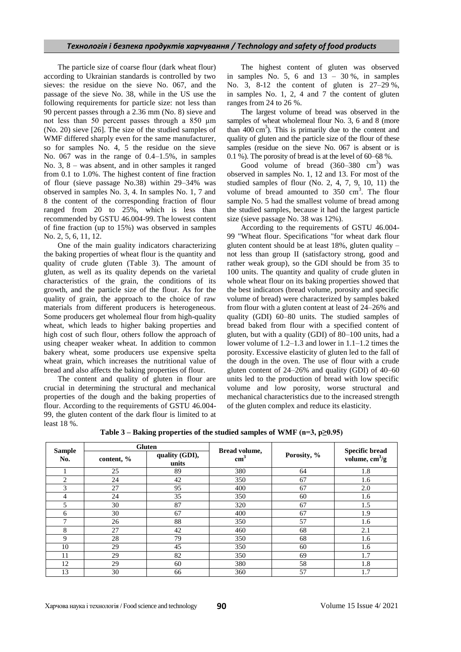The particle size of coarse flour (dark wheat flour) according to Ukrainian standards is controlled by two sieves: the residue on the sieve No. 067, and the passage of the sieve No. 38, while in the US use the following requirements for particle size: not less than 90 percent passes through a 2.36 mm (No. 8) sieve and not less than 50 percent passes through a 850 μm (No. 20) sieve [26]. The size of the studied samples of WMF differed sharply even for the same manufacturer, so for samples No. 4, 5 the residue on the sieve No. 067 was in the range of 0.4–1.5%, in samples No. 3, 8 – was absent, and in other samples it ranged from 0.1 to 1.0%. The highest content of fine fraction of flour (sieve passage No.38) within 29–34% was observed in samples No. 3, 4. In samples No. 1, 7 and 8 the content of the corresponding fraction of flour ranged from 20 to 25%, which is less than recommended by GSTU 46.004-99. The lowest content of fine fraction (up to 15%) was observed in samples No. 2, 5, 6, 11, 12.

One of the main guality indicators characterizing the baking properties of wheat flour is the quantity and quality of crude gluten (Table 3). The amount of gluten, as well as its quality depends on the varietal characteristics of the grain, the conditions of its growth, and the particle size of the flour. As for the quality of grain, the approach to the choice of raw materials from different producers is heterogeneous. Some producers get wholemeal flour from high-quality wheat, which leads to higher baking properties and high cost of such flour, others follow the approach of using cheaper weaker wheat. In addition to common bakery wheat, some producers use expensive spelta wheat grain, which increases the nutritional value of bread and also affects the baking properties of flour.

The content and quality of gluten in flour are crucial in determining the structural and mechanical properties of the dough and the baking properties of flour. According to the requirements of GSTU 46.004- 99, the gluten content of the dark flour is limited to at least 18 %.

The highest content of gluten was observed in samples No. 5, 6 and  $13 - 30\%$ , in samples No. 3, 8-12 the content of gluten is 27–29 %, in samples No. 1, 2, 4 and 7 the content of gluten ranges from 24 to 26 %.

The largest volume of bread was observed in the samples of wheat wholemeal flour No. 3, 6 and 8 (more than  $400 \text{ cm}^3$ ). This is primarily due to the content and quality of gluten and the particle size of the flour of these samples (residue on the sieve No. 067 is absent or is 0.1 %). The porosity of bread is at the level of 60–68 %.

Good volume of bread  $(360-380 \text{ cm}^3)$  was observed in samples No. 1, 12 and 13. For most of the studied samples of flour (No. 2, 4, 7, 9, 10, 11) the volume of bread amounted to  $350 \text{ cm}^3$ . The flour sample No. 5 had the smallest volume of bread among the studied samples, because it had the largest particle size (sieve passage No. 38 was 12%).

According to the requirements of GSTU 46.004- 99 "Wheat flour. Specifications "for wheat dark flour gluten content should be at least  $18\%$ , gluten quality – not less than group II (satisfactory strong, good and rather weak group), so the GDI should be from 35 to 100 units. The quantity and quality of crude gluten in whole wheat flour on its baking properties showed that the best indicators (bread volume, porosity and specific volume of bread) were characterized by samples baked from flour with a gluten content at least of 24–26% and quality (GDI) 60–80 units. The studied samples of bread baked from flour with a specified content of gluten, but with a quality (GDI) of 80–100 units, had a lower volume of 1.2–1.3 and lower in 1.1–1.2 times the porosity. Excessive elasticity of gluten led to the fall of the dough in the oven. The use of flour with a crude gluten content of 24–26% and quality (GDI) of 40–60 units led to the production of bread with low specific volume and low porosity, worse structural and mechanical characteristics due to the increased strength of the gluten complex and reduce its elasticity.

**Table 3 – Baking properties of the studied samples of WMF (n=3, p≥0.95)**

|                      | <b>Gluten</b> |                         |                                |             |                                                         |  |
|----------------------|---------------|-------------------------|--------------------------------|-------------|---------------------------------------------------------|--|
| <b>Sample</b><br>No. | content, %    | quality (GDI),<br>units | Bread volume,<br>$\text{cm}^3$ | Porosity, % | <b>Specific bread</b><br>volume, $\text{cm}^3/\text{g}$ |  |
|                      | 25            | 89                      | 380                            | 64          | 1.8                                                     |  |
| 2                    | 24            | 42                      | 350                            | 67          | 1.6                                                     |  |
| 3                    | 27            | 95                      | 400                            | 67          | 2.0                                                     |  |
| 4                    | 24            | 35                      | 350                            | 60          | 1.6                                                     |  |
| 5                    | 30            | 87                      | 320                            | 67          | 1.5                                                     |  |
| 6                    | 30            | 67                      | 400                            | 67          | 1.9                                                     |  |
| 7                    | 26            | 88                      | 350                            | 57          | 1.6                                                     |  |
| 8                    | 27            | 42                      | 460                            | 68          | 2.1                                                     |  |
| 9                    | 28            | 79                      | 350                            | 68          | 1.6                                                     |  |
| 10                   | 29            | 45                      | 350                            | 60          | 1.6                                                     |  |
| 11                   | 29            | 82                      | 350                            | 69          | 1.7                                                     |  |
| 12                   | 29            | 60                      | 380                            | 58          | 1.8                                                     |  |
| 13                   | 30            | 66                      | 360                            | 57          | 1.7                                                     |  |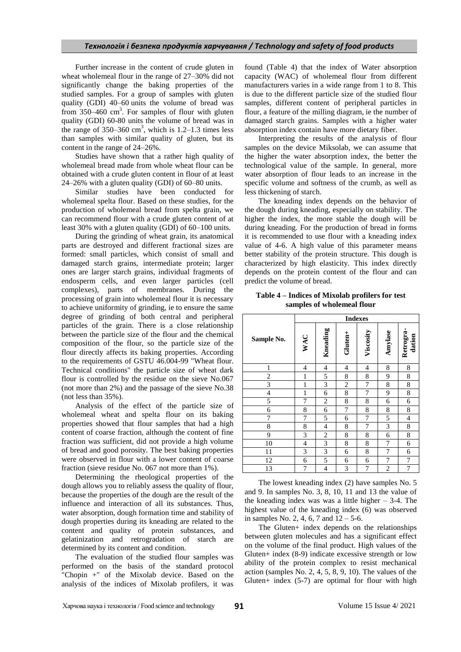## *Технологія і безпека продуктів харчування / Technology and safety of food products*

Further increase in the content of crude gluten in wheat wholemeal flour in the range of 27–30% did not significantly change the baking properties of the studied samples. For a group of samples with gluten quality (GDI) 40–60 units the volume of bread was from 350–460  $\text{cm}^3$ . For samples of flour with gluten quality (GDI) 60-80 units the volume of bread was in the range of  $350-360$  cm<sup>3</sup>, which is  $1.2-1.3$  times less than samples with similar quality of gluten, but its content in the range of 24–26%.

Studies have shown that a rather high quality of wholemeal bread made from whole wheat flour can be obtained with a crude gluten content in flour of at least 24–26% with a gluten quality (GDI) of 60–80 units.

Similar studies have been conducted for wholemeal spelta flour. Based on these studies, for the production of wholemeal bread from spelta grain, we can recommend flour with a crude gluten content of at least 30% with a gluten quality (GDI) of 60–100 units.

During the grinding of wheat grain, its anatomical parts are destroyed and different fractional sizes are formed: small particles, which consist of small and damaged starch grains, intermediate protein; larger ones are larger starch grains, individual fragments of endosperm cells, and even larger particles (cell complexes), parts of membranes. During the processing of grain into wholemeal flour it is necessary to achieve uniformity of grinding, ie to ensure the same degree of grinding of both central and peripheral particles of the grain. There is a close relationship between the particle size of the flour and the chemical composition of the flour, so the particle size of the flour directly affects its baking properties. According to the requirements of GSTU 46.004-99 "Wheat flour. Technical conditions" the particle size of wheat dark flour is controlled by the residue on the sieve No.067 (not more than 2%) and the passage of the sieve No.38 (not less than 35%).

Analysis of the effect of the particle size of wholemeal wheat and spelta flour on its baking properties showed that flour samples that had a high content of coarse fraction, although the content of fine fraction was sufficient, did not provide a high volume of bread and good porosity. The best baking properties were observed in flour with a lower content of coarse fraction (sieve residue No. 067 not more than 1%).

Determining the rheological properties of the dough allows you to reliably assess the quality of flour, because the properties of the dough are the result of the influence and interaction of all its substances. Thus, water absorption, dough formation time and stability of dough properties during its kneading are related to the content and quality of protein substances, and gelatinization and retrogradation of starch are determined by its content and condition.

The evaluation of the studied flour samples was performed on the basis of the standard protocol "Chopin +" of the Mixolab device. Based on the analysis of the indices of Mixolab profilers, it was

found (Table 4) that the index of Water absorption capacity (WAC) of wholemeal flour from different manufacturers varies in a wide range from 1 to 8. This is due to the different particle size of the studied flour samples, different content of peripheral particles in flour, a feature of the milling diagram, ie the number of damaged starch grains. Samples with a higher water absorption index contain have more dietary fiber.

Interpreting the results of the analysis of flour samples on the device Miksolab, we can assume that the higher the water absorption index, the better the technological value of the sample. In general, more water absorption of flour leads to an increase in the specific volume and softness of the crumb, as well as less thickening of starch.

The kneading index depends on the behavior of the dough during kneading, especially on stability. The higher the index, the more stable the dough will be during kneading. For the production of bread in forms it is recommended to use flour with a kneading index value of 4-6. A high value of this parameter means better stability of the protein structure. This dough is characterized by high elasticity. This index directly depends on the protein content of the flour and can predict the volume of bread.

## **Table 4 – Indices of Mixolab profilers for test samples of wholemeal flour**

|                          | <b>Indexes</b> |                          |                |           |                |                          |
|--------------------------|----------------|--------------------------|----------------|-----------|----------------|--------------------------|
| Sample No.               | WAC            | Kneading                 | Gluten+        | Viscosity | Amylase        | Retrogra-<br>dation      |
| $\mathbf{1}$             | 4              | $\overline{\mathcal{L}}$ | 4              | 4         | 8              | 8                        |
| $\overline{\mathbf{c}}$  | $\mathbf{1}$   | 5                        | 8              | 8         | 9              | 8                        |
| $\overline{3}$           | $\mathbf{1}$   | 3                        | $\overline{c}$ | 7         | 8              | 8                        |
| $\overline{\mathcal{L}}$ | $\,1$          | 6                        | 8              | 7         | 9              | 8                        |
| 5                        | 7              | $\overline{c}$           | 8              | 8         | 6              | 6                        |
| 6                        | 8              | 6                        | 7              | 8         | 8              | 8                        |
| $\overline{7}$           | 7              | 5                        | 6              | 7         | 5              | $\overline{\mathcal{L}}$ |
| 8                        | 8              | 4                        | 8              | 7         | 3              | 8                        |
| 9                        | 3              | 2                        | 8              | 8         | 6              | 8                        |
| 10                       | 4              | 3                        | 8              | 8         | 7              | 6                        |
| 11                       | 3              | $\overline{\mathbf{3}}$  | 6              | 8         | 7              | 6                        |
| 12                       | 6              | 5                        | 6              | 6         | 7              | 7                        |
| 13                       | 7              | $\overline{\mathcal{L}}$ | 3              | 7         | $\overline{c}$ | 7                        |

The lowest kneading index (2) have samples No. 5 and 9. In samples No. 3, 8, 10, 11 and 13 the value of the kneading index was was a little higher  $-3-4$ . The highest value of the kneading index (6) was observed in samples No. 2, 4, 6, 7 and  $12 - 5 - 6$ .

The Gluten+ index depends on the relationships between gluten molecules and has a significant effect on the volume of the final product. High values of the Gluten+ index (8-9) indicate excessive strength or low ability of the protein complex to resist mechanical action (samples No. 2, 4, 5, 8, 9, 10). The values of the Gluten+ index (5**-**7) are optimal for flour with high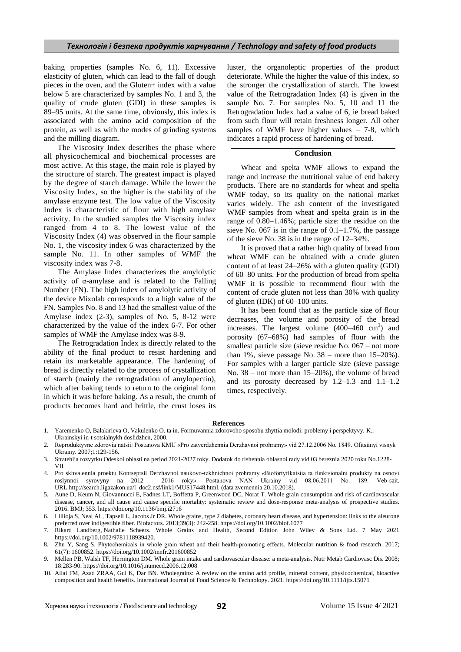baking properties (samples No. 6, 11). Excessive elasticity of gluten, which can lead to the fall of dough pieces in the oven, and the Gluten+ index with a value below 5 are characterized by samples No. 1 and 3, the quality of crude gluten (GDI) in these samples is 89–95 units. At the same time, obviously, this index is associated with the amino acid composition of the protein, as well as with the modes of grinding systems and the milling diagram.

The Viscosity Index describes the phase where all physicochemical and biochemical processes are most active. At this stage, the main role is played by the structure of starch. The greatest impact is played by the degree of starch damage. While the lower the Viscosity Index, so the higher is the stability of the amylase enzyme test. The low value of the Viscosity Index is characteristic of flour with high amylase activity. In the studied samples the Viscosity index ranged from 4 to 8. The lowest value of the Viscosity Index (4) was observed in the flour sample No. 1, the viscosity index 6 was characterized by the sample No. 11. In other samples of WMF the viscosity index was 7-8.

The Amylase Index characterizes the amylolytic activity of α-amylase and is related to the Falling Number (FN). The high index of amylolytic activity of the device Mixolab corresponds to a high value of the FN. Samples No. 8 and 13 had the smallest value of the Amylase index (2-3), samples of No. 5, 8-12 were characterized by the value of the index 6-7. For other samples of WMF the Amylase index was 8-9.

The Retrogradation Index is directly related to the ability of the final product to resist hardening and retain its marketable appearance. The hardening of bread is directly related to the process of crystallization of starch (mainly the retrogradation of amylopectin), which after baking tends to return to the original form in which it was before baking. As a result, the crumb of products becomes hard and brittle, the crust loses its

luster, the organoleptic properties of the product deteriorate. While the higher the value of this index, so the stronger the crystallization of starch. The lowest value of the Retrogradation Index (4) is given in the sample No. 7. For samples No. 5, 10 and 11 the Retrogradation Index had a value of 6, ie bread baked from such flour will retain freshness longer. All other samples of WMF have higher values – 7-8, which indicates a rapid process of hardening of bread.

### **Conclusion**

Wheat and spelta WMF allows to expand the range and increase the nutritional value of end bakery products. There are no standards for wheat and spelta WMF today, so its quality on the national market varies widely. The ash content of the investigated WMF samples from wheat and spelta grain is in the range of 0.80–1.46%; particle size: the residue on the sieve No. 067 is in the range of  $0.1-1.7\%$ , the passage of the sieve No. 38 is in the range of 12–34%.

It is proved that a rather high quality of bread from wheat WMF can be obtained with a crude gluten content of at least 24–26% with a gluten quality (GDI) of 60–80 units. For the production of bread from spelta WMF it is possible to recommend flour with the content of crude gluten not less than 30% with quality of gluten (IDK) of 60–100 units.

It has been found that as the particle size of flour decreases, the volume and porosity of the bread increases. The largest volume  $(400-460 \text{ cm}^3)$  and porosity (67–68%) had samples of flour with the smallest particle size (sieve residue No. 067 – not more than 1%, sieve passage No. 38 – more than 15–20%). For samples with a larger particle size (sieve passage No. 38 – not more than 15–20%), the volume of bread and its porosity decreased by 1.2–1.3 and 1.1–1.2 times, respectively.

#### **References**

- 1. Yaremenko O, Balakirieva O, Vakulenko O. ta in. Formuvannia zdorovoho sposobu zhyttia molodi: problemy i perspektyvy. K.:
- Ukrainskyi in-t sotsialnykh doslidzhen, 2000. 2. Reproduktyvne zdorovia natsii: Postanova KMU «Pro zatverdzhennia Derzhavnoi prohramy» vid 27.12.2006 No. 1849. Ofitsiinyi visnyk Ukrainy. 2007;1:129-156.
- 3. Stratehiia rozvytku Odeskoi oblasti na period 2021-2027 roky. Dodatok do rishennia oblasnoi rady vid 03 bereznia 2020 roku No.1228- VII.
- 4. Pro skhvalennia proektu Kontseptsii Derzhavnoi naukovo-tekhnichnoi prohramy «Biofortyfikatsiia ta funktsionalni produkty na osnovi roslynnoi syrovyny na 2012 - 2016 roky»: Postanova NAN Ukrainy vid 08.06.2011 No. 189. Veb-sait. URL:http://search.ligazakon.ua/l\_doc2.nsf/link1/MUS17448.html. (data zvernennia 20.10.2018).
- 5. Aune D, Keum N, Giovannucci E, Fadnes LT, Boffetta P, Greenwood DC, Norat T. Whole grain consumption and risk of cardiovascular disease, cancer, and all cause and cause specific mortality: systematic review and dose-response meta-analysis of prospective studies. 2016. BMJ; 353. https://doi.org/10.1136/bmj.i2716
- 6. Lillioja S, Neal AL, Tapsell L, Jacobs Jr DR. Whole grains, type 2 diabetes, coronary heart disease, and hypertension: links to the aleurone preferred over indigestible fiber. Biofactors. 2013;39(3): 242-258. https://doi.org/10.1002/biof.1077
- 7. Rikard Landberg, Nathalie Scheers. Whole Grains and Health, Second Edition John Wiley & Sons Ltd. 7 May 2021 https://doi.org/10.1002/9781118939420.
- 8. Zhu Y, Sang S. Phytochemicals in whole grain wheat and their health-promoting effects. Molecular nutrition & food research. 2017; 61(7): 1600852. https://doi.org/10.1002/mnfr.201600852
- 9. Mellen PB, Walsh TF, Herrington DM. Whole grain intake and cardiovascular disease: a meta-analysis. Nutr Metab Cardiovasc Dis. 2008; 18:283-90. https://doi.org/10.1016/j.numecd.2006.12.008
- 10. Allai FM, Azad ZRAA, Gul K, Dar BN. Wholegrains: A review on the amino acid profile, mineral content, physicochemical, bioactive composition and health benefits. International Journal of Food Science & Technology. 2021. https://doi.org/10.1111/ijfs.15071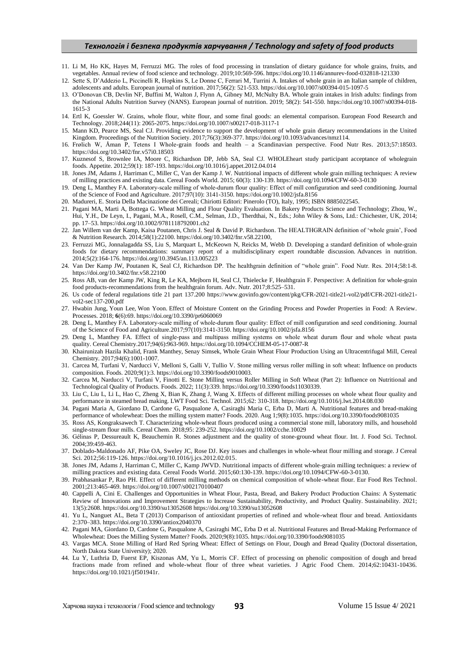## *Технологія і безпека продуктів харчування / Technology and safety of food products*

- 11. Li M, Ho KK, Hayes M, Ferruzzi MG. The roles of food processing in translation of dietary guidance for whole grains, fruits, and vegetables. Annual review of food science and technology. 2019;10:569-596. https://doi.org/10.1146/annurev-food-032818-121330
- 12. Sette S, D'Addezio L, Piccinelli R, Hopkins S, Le Donne C, Ferrari M, Turrini A. Intakes of whole grain in an Italian sample of children, adolescents and adults. European journal of nutrition. 2017;56(2): 521-533. https://doi.org/10.1007/s00394-015-1097-5
- 13. O'Donovan CB, Devlin NF, Buffini M, Walton J, Flynn A, Gibney MJ, McNulty BA. Whole grain intakes in Irish adults: findings from the National Adults Nutrition Survey (NANS). European journal of nutrition. 2019; 58(2): 541-550. https://doi.org/10.1007/s00394-018- 1615-3
- 14. Ertl K, Goessler W. Grains, whole flour, white flour, and some final goods: an elemental comparison. European Food Research and Technology. 2018;244(11): 2065-2075. https://doi.org/10.1007/s00217-018-3117-1
- 15. Mann KD, Pearce MS, Seal CJ. Providing evidence to support the development of whole grain dietary recommendations in the United Kingdom. Proceedings of the Nutrition Society. 2017;76(3):369-377. https://doi.org/10.1093/advances/nmz114.
- 16. Frølich W, Åman P, Tetens I Whole-grain foods and health a Scandinavian perspective. Food Nutr Res. 2013;57:18503. https://doi.org/10.3402/fnr.v57i0.18503
- 17. Kuznesof S, Brownlee IA, Moore C, Richardson DP, Jebb SA, Seal CJ. WHOLEheart study participant acceptance of wholegrain foods. Appetite. 2012;59(1): 187-193. https://doi.org/10.1016/j.appet.2012.04.014
- 18. Jones JM, Adams J, Harriman C, Miller C, Van der Kamp J. W. Nutritional impacts of different whole grain milling techniques: A review of milling practices and existing data. Cereal Foods World. 2015; 60(3): 130-139. https://doi.org/10.1094/CFW-60-3-0130
- 19. Deng L, Manthey FA. Laboratory‐scale milling of whole‐durum flour quality: Effect of mill configuration and seed conditioning. Journal of the Science of Food and Agriculture. 2017;97(10): 3141-3150. https://doi.org/10.1002/jsfa.8156
- 20. Madureri, E. Storia Della Macinazione dei Cereali; Chiriotti Editori: Pinerolo (TO), Italy, 1995; ISBN 8885022545.
- 21. Pagani MA, Marti A, Bottega G. Wheat Milling and Flour Quality Evaluation. In Bakery Products Science and Technology; Zhou, W., Hui, Y.H., De Leyn, I., Pagani, M.A., Rosell, C.M., Selman, J.D., Therdthai, N., Eds.; John Wiley & Sons, Ltd.: Chichester, UK, 2014; pp. 17–53. https://doi.org/10.1002/9781118792001.ch2
- 22. Jan Willem van der Kamp, Kaisa Poutanen, Chris J. Seal & David P. Richardson. The HEALTHGRAIN definition of 'whole grain', Food & Nutrition Research. 2014;58(1):22100. https://doi.org/10.3402/fnr.v58.22100,
- 23. Ferruzzi MG, Jonnalagadda SS, Liu S, Marquart L, McKeown N, Reicks M, Webb D. Developing a standard definition of whole-grain foods for dietary recommendations: summary report of a multidisciplinary expert roundtable discussion. Advances in nutrition. 2014;5(2):164-176. https://doi.org/10.3945/an.113.005223
- 24. Van Der Kamp JW, Poutanen K, Seal CJ, Richardson DP. The healthgrain definition of "whole grain". Food Nutr. Res. 2014;58:1-8. https://doi.org/10.3402/fnr.v58.22100
- 25. Ross AB, van der Kamp JW, King R, Le KA, Mejborn H, Seal CJ, Thielecke F, Healthgrain F. Perspective: A definition for whole-grain food products-recommendations from the healthgrain forum. Adv. Nutr. 2017;8:525–531.
- 26. Us code of federal regulations title 21 part 137.200 https://www.govinfo.gov/content/pkg/CFR-2021-title21-vol2/pdf/CFR-2021-title21 vol2-sec137-200.pdf
- 27. Hwabin Jung, Youn Lee, Won Yoon. Effect of Moisture Content on the Grinding Process and Powder Properties in Food: A Review. Processes. 2018; **6**(6):69. https://doi.org/10.3390/pr6060069
- 28. Deng L, Manthey FA. Laboratory‐scale milling of whole‐durum flour quality: Effect of mill configuration and seed conditioning. Journal of the Science of Food and Agriculture.2017;97(10):3141-3150. https://doi.org/10.1002/jsfa.8156
- 29. Deng L, Manthey FA. Effect of single‐pass and multipass milling systems on whole wheat durum flour and whole wheat pasta quality. Cereal Chemistry.2017;94(6):963-969. https://doi.org/10.1094/CCHEM-05-17-0087-R
- 30. Khairunizah Hazila Khalid, Frank Manthey, Senay Simsek, Whole Grain Wheat Flour Production Using an Ultracentrifugal Mill, Cereal Chemistry. 2017;94(6):1001-1007.
- 31. Carcea M, Turfani V, Narducci V, Melloni S, Galli V, Tullio V. Stone milling versus roller milling in soft wheat: Influence on products composition. Foods. 2020;9(1):3. https://doi.org/10.3390/foods9010003.
- 32. Carcea M, Narducci V, Turfani V, Finotti E. Stone Milling versus Roller Milling in Soft Wheat (Part 2): Influence on Nutritional and Technological Quality of Products. Foods. 2022; 11(3):339. https://doi.org/10.3390/foods11030339.
- 33. Liu C, Liu L, Li L, Hao C, Zheng X, Bian K, Zhang J, Wang X. Effects of different milling processes on whole wheat flour quality and performance in steamed bread making. LWT Food Sci. Technol. 2015;62: 310-318. https://doi.org/10.1016/j.lwt.2014.08.030
- 34. Pagani Maria A, Giordano D, Cardone G, Pasqualone A, Casiraghi Maria C, Erba D, Marti A. Nutritional features and bread-making performance of wholewheat: Does the milling system matter? Foods. 2020. Aug 1;9(8):1035. https://doi.org/10.3390/foods9081035
- 35. Ross AS, Kongraksawech T. Characterizing whole-wheat flours produced using a commercial stone mill, laboratory mills, and household single-stream flour mills. Cereal Chem. 2018;95: 239-252. https://doi.org/10.1002/cche.10029
- 36. Gélinas P, Dessureault K, Beauchemin R. Stones adjustment and the quality of stone-ground wheat flour. Int. J. Food Sci. Technol. 2004;39:459-463.
- 37. Doblado-Maldonado AF, Pike OA, Sweley JC, Rose DJ. Key issues and challenges in whole-wheat flour milling and storage. J Cereal Sci. 2012;56:119-126. https://doi.org/10.1016/j.jcs.2012.02.015.
- 38. Jones JM, Adams J, Harriman C, Miller C, Kamp JWVD. Nutritional impacts of different whole-grain milling techniques: a review of milling practices and existing data. Cereal Foods World. 2015;60:130-139. https://doi.org/10.1094/CFW-60-3-0130.
- 39. Prabhasankar P, Rao PH. Effect of different milling methods on chemical composition of whole-wheat flour. Eur Food Res Technol. 2001;213:465-469. https://doi.org/10.1007/s002170100407
- 40. Cappelli A, Cini E. Challenges and Opportunities in Wheat Flour, Pasta, Bread, and Bakery Product Production Chains: A Systematic Review of Innovations and Improvement Strategies to Increase Sustainability, Productivity, and Product Quality. Sustainability. 2021; 13(5):2608. https://doi.org/10.3390/su13052608 https://doi.org/10.3390/su13052608
- 41. Yu L, Nanguet AL, Beta T (2013) Comparison of antioxidant properties of refined and whole-wheat flour and bread. Antioxidants 2:370–383. https://doi.org/10.3390/antiox2040370
- 42. Pagani MA, Giordano D, Cardone G, Pasqualone A, Casiraghi MC, Erba D et al. Nutritional Features and Bread-Making Performance of Wholewheat: Does the Milling System Matter? Foods. 2020;9(8):1035. https://doi.org/10.3390/foods9081035
- 43. Vargas MCA. Stone Milling of Hard Red Spring Wheat: Effect of Settings on Flour, Dough and Bread Quality (Doctoral dissertation, North Dakota State University); 2020.
- 44. Lu Y, Luthria D, Fuerst EP, Kiszonas AM, Yu L, Morris CF. Effect of processing on phenolic composition of dough and bread fractions made from refined and whole-wheat flour of three wheat varieties. J Agric Food Chem. 2014;62:10431-10436. https://doi.org/10.1021/jf501941r.